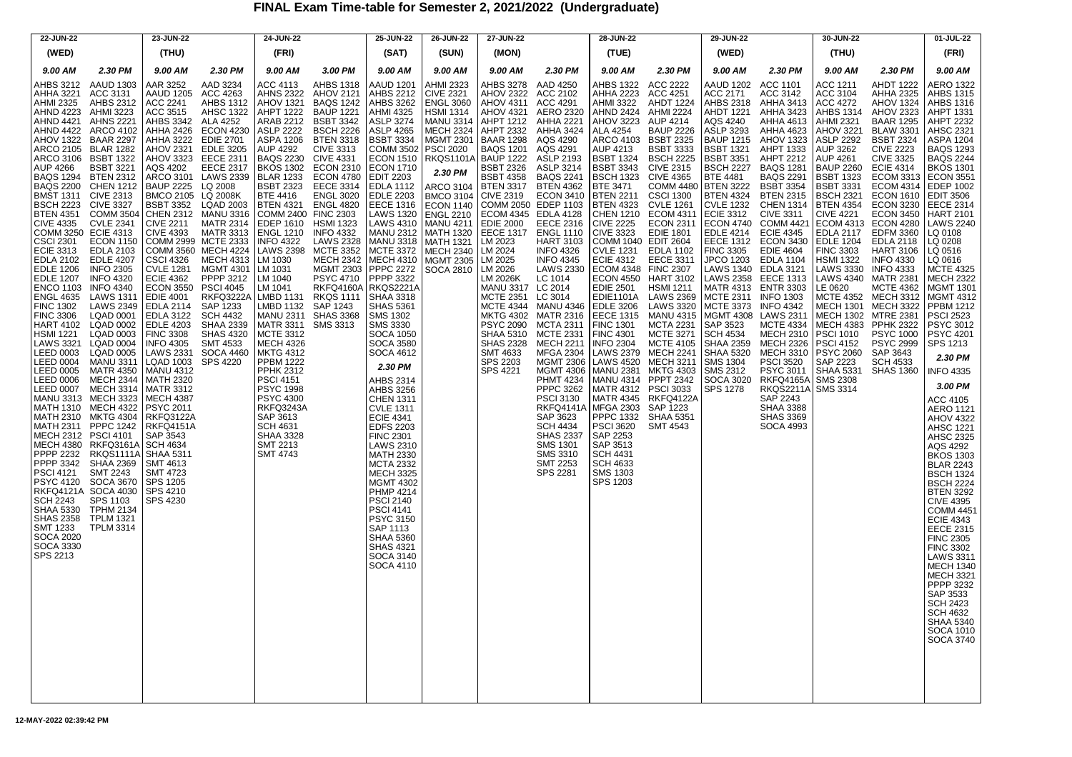## **FINAL Exam Time-table for Semester 2, 2021/2022 (Undergraduate)**

| 22-JUN-22                                                                                                                                                                                                                                                                                      |                                                                                                                                                                                                                                                                                                                                                                                                                                                                                    | 23-JUN-22                                                              |                                                                                                                                                                                                                               | 24-JUN-22                                                                                                                                               |         | 25-JUN-22                                                                                                                                                                                                                                                                                                                                                                                                                                                                                                                                       | 26-JUN-22 | 27-JUN-22                           |                                                           | 28-JUN-22                                                                 |                                                              | 29-JUN-22                                              |                                                                                                                                                                                                                                                                                                                                           | 30-JUN-22                                                                                                                                                                                                                                                                                                                                                              |                                                                                                                                                                                                                                                                                                                                                                                                                                                                                                                                                                                                           | 01-JUL-22                                                                                                                                                                                                                                                                                                                                                                                                                                                                                                                                                                                                                                                                                                                                                                                                                                                                                                                                                                     |
|------------------------------------------------------------------------------------------------------------------------------------------------------------------------------------------------------------------------------------------------------------------------------------------------|------------------------------------------------------------------------------------------------------------------------------------------------------------------------------------------------------------------------------------------------------------------------------------------------------------------------------------------------------------------------------------------------------------------------------------------------------------------------------------|------------------------------------------------------------------------|-------------------------------------------------------------------------------------------------------------------------------------------------------------------------------------------------------------------------------|---------------------------------------------------------------------------------------------------------------------------------------------------------|---------|-------------------------------------------------------------------------------------------------------------------------------------------------------------------------------------------------------------------------------------------------------------------------------------------------------------------------------------------------------------------------------------------------------------------------------------------------------------------------------------------------------------------------------------------------|-----------|-------------------------------------|-----------------------------------------------------------|---------------------------------------------------------------------------|--------------------------------------------------------------|--------------------------------------------------------|-------------------------------------------------------------------------------------------------------------------------------------------------------------------------------------------------------------------------------------------------------------------------------------------------------------------------------------------|------------------------------------------------------------------------------------------------------------------------------------------------------------------------------------------------------------------------------------------------------------------------------------------------------------------------------------------------------------------------|-----------------------------------------------------------------------------------------------------------------------------------------------------------------------------------------------------------------------------------------------------------------------------------------------------------------------------------------------------------------------------------------------------------------------------------------------------------------------------------------------------------------------------------------------------------------------------------------------------------|-------------------------------------------------------------------------------------------------------------------------------------------------------------------------------------------------------------------------------------------------------------------------------------------------------------------------------------------------------------------------------------------------------------------------------------------------------------------------------------------------------------------------------------------------------------------------------------------------------------------------------------------------------------------------------------------------------------------------------------------------------------------------------------------------------------------------------------------------------------------------------------------------------------------------------------------------------------------------------|
| (WED)                                                                                                                                                                                                                                                                                          |                                                                                                                                                                                                                                                                                                                                                                                                                                                                                    | (THU)                                                                  |                                                                                                                                                                                                                               | (FRI)                                                                                                                                                   |         | (SAT)                                                                                                                                                                                                                                                                                                                                                                                                                                                                                                                                           | (SUN)     | (MON)                               |                                                           | (TUE)                                                                     |                                                              | (WED)                                                  |                                                                                                                                                                                                                                                                                                                                           | (THU)                                                                                                                                                                                                                                                                                                                                                                  |                                                                                                                                                                                                                                                                                                                                                                                                                                                                                                                                                                                                           | (FRI)                                                                                                                                                                                                                                                                                                                                                                                                                                                                                                                                                                                                                                                                                                                                                                                                                                                                                                                                                                         |
| 9.00 AM                                                                                                                                                                                                                                                                                        | 2.30 PM                                                                                                                                                                                                                                                                                                                                                                                                                                                                            | 9.00 AM                                                                | 2.30 PM                                                                                                                                                                                                                       | 9.00 AM                                                                                                                                                 | 3.00 PM | 9.00 AM                                                                                                                                                                                                                                                                                                                                                                                                                                                                                                                                         | 9.00 AM   | 9.00 AM                             | 2.30 PM                                                   | 9.00 AM                                                                   | 2.30 PM                                                      | 9.00 AM                                                | 2.30 PM                                                                                                                                                                                                                                                                                                                                   | 9.00 AM                                                                                                                                                                                                                                                                                                                                                                | 2.30 PM                                                                                                                                                                                                                                                                                                                                                                                                                                                                                                                                                                                                   | 9.00 AM                                                                                                                                                                                                                                                                                                                                                                                                                                                                                                                                                                                                                                                                                                                                                                                                                                                                                                                                                                       |
| <b>ENGL 4635<br/>FINC 1302<br/>FINC 1302<br/>FINC 1302<br/>HART 41221<br/>LEED 0003<br/>LEED 0006<br/>LEED 0006<br/>LEED 0006<br/>LEED 0006<br/>LEED 0006<br/>LEED 0003<br/>LEED 0003<br/>LEED 0003<br/>LEED 0003<br/>LEED 0003<br/>LEED 0003</b><br>PPPP 3342<br><b>PSCI 4121</b><br>SPS 2213 | LAWS 3321 LQAD 0004   INFO 4305<br>LEED 0003 LQAD 0005   LAWS 2331<br>LEED 0003 NAAD 0005   LQAD 1003<br>LEED 0005 MATR 4350   MANU 4312<br>LEED 0006 MECH 2344   MATH 2320<br>LEED 0007 MECH 3344   MATR 3312<br>MANU 3313 MECH 3323   MECH 438<br><b>SHAA 2369</b><br><b>SMT 2243</b><br>PSC 4120 SOCA 3670<br>PSYC 4120 SOCA 3670<br>RKFQ4121A SOCA 4030<br>SCH 2243 SPS 1103<br>SHAA 5330 TPHM 2134<br>SMT 1233 TPLM 13214<br>SOCA 2020<br>SOCA 2020<br>SOCA 3330<br>SOCA 3330 | <b>SMT 4613</b><br><b>SMT 4723</b><br>SPS 1205<br>SPS 4210<br>SPS 4230 | 9.00 AM 2.30 PM 300 AM 2.30 PM 3.00 AM 3.00 PM 3.00 PM 9.00 AM 3.00 PM 4.221 AH-BS 212 AAD 313 AAR 3232 AAD 323 AH-BS 2212 AH-BS 2212 AH-BS 2212 AH-BS 2212 AH-BS 2212 AH-BS 2212 AH-BS 2212 AH-BS 2212 AH-BS 2212 AH-BS 2212 | <b>PSCI 4151</b><br><b>PSYC 1998</b><br>PSYC 4300<br>RKFQ3243A<br>SAP 3613<br><b>SCH 4631</b><br><b>SHAA 3328</b><br><b>SMT 2213</b><br><b>SMT 4743</b> |         | AHMI 4325 HSMI 3144 AHOV 4321<br>AHMI 4325 HSMI 3134 AHOV 4321<br>ASLP 3274 MANU 3314 AHPT 2312<br>ASLP 4265 MECH 2334 AHPT 2332<br>COMM 3502 PSCI 2020 BAQS 1201<br>ECON 1510 RKQS1101A BAQP 1222<br>COM 1510 RKQS1101A BAQP 1222<br>AHBS 2314<br>AHBS 3256<br>CHEN 1311<br>UVLE 1311<br>ECIE 4341<br>EDFS 2203<br>FINC 2301<br>LAWS 2310<br>MCTA 2332<br>MECH 3325<br>MECH 4204<br>PSC 2140<br>PSC 2140<br>PSC 4141<br>PSC 4141<br>PSC 4141<br><b>PSYC 3150</b><br>SAP 1113<br>SHAA 5360<br><b>SHAS 4321</b><br><b>SOCA 3140</b><br>SOCA 4110 |           | AHBS 3278<br>AHOV 2322<br>AHOV 4311 | AAD 4250<br>ACC 2102<br>ACC 4291<br>AERO 2320<br>SPS 2281 | AHBS 1322<br>AHHA 2223<br><b>AHND 2424</b><br><b>SMS 1303</b><br>SPS 1203 | <b>ACC 2222</b><br>ACC 4251<br>AHDT 1224<br><b>AHMI 2224</b> | AAUD 1202<br>ACC 2171<br>AHBS 2318<br><b>AHDT 1221</b> | <b>ACC 1101</b><br>ACC 3142<br>AHHA 3413<br><b>AHHA 3423</b><br>AHOV 4321 AGC 4201 (1941) AND 4322 AHHM 4322 AHHM 4311 AHOV 4321 AHHM 4312 AHHM 4322 AHHM 4322 AHHA 4322 AHHA 4324 AHD 1224 AHHM 4224 AHD 1224 AHHM 4224 AHHM 1224 AHHM 4224 AHHM 4224 AHHM 4224 AHHM 4224 AHHM 4224 AHHA 432<br>RKFQ4165A SMS 2308<br>RKQS2211A SMS 3314 | ACC 1211<br>ACC 3104<br>ACC 4272<br><b>AHBS 1314</b><br><b>AHMI 2321<br/> AHMI 2322<br/> ASLP 2292<br/> AUP 3261<br/> AUP 4261<br/> BSBT 1323<br/> BSBT 13231<br/> BSCH 2321<br/> BTEN 4354<br/> CIVE 4221<br/> COM 4313</b><br>FINC 3303<br>HSMI 1322<br>LAWS 3330 INFO 4333<br>LAWS 4340 MATR 2381<br>LE 0620 MCTE 4362<br><b>PSYC 2060</b><br>SAP 2223<br>SHAA 5331 | <b>AHDT 1222</b><br><b>AHHA 2325</b><br><b>AHOV 1324</b><br><b>AHOV 2323</b><br><b>BAAR 1295</b><br>BLAW 3301<br>BSBT 2324<br><b>CIVE 2223</b><br>CIVE 3325<br><b>ECIE 4314</b><br>ECOM 3313<br>ECOM 4314<br><b>ECON 1610</b><br><b>ECON 3230</b><br><b>ECON 3450</b><br>ECOM 4313 ECON 4280<br>EDLA 2117 EDFM 3360<br>EDLE 1204 EDLA 2118<br>HART 3106<br>INFO 4330<br>LE DOZO<br>MCTE 4352 MECH 3312<br>MECH 1301 MECH 3322<br>MECH 1302 MTRE 2381<br>MECH 4383 PPHK 2322<br>PSCI 1010 PSYC 1000<br>PSCI 4152 PSYC 2999<br>PSCI 4152 PSYC 2999<br>PSYC 2999<br>SAP 3643<br>SCH 4533<br><b>SHAS 1360</b> | AERO 1322<br>AHBS 1315<br>AHBS 1316<br><b>AHPT 1331</b><br><b>AHPT 2232</b><br><b>AHSC 2321</b><br>ASPA 1204<br>BAQS 1293<br><b>BAQS 2244</b><br><b>BKOS 1301</b><br><b>ECON 3551</b><br><b>EDEP 1002</b><br><b>EDIT 3506</b><br><b>EECE 2314</b><br><b>HART 2101</b><br><b>LAWS 2240</b><br>LQ 0108<br>LQ 0208<br>LQ 0516<br>LQ 0616<br><b>MCTE 4325</b><br><b>MECH 2322</b><br><b>MGMT 1301</b><br>MGMT 4312<br>PPBM 1212<br>PSCI 2523<br>PSYC 3012<br><b>PSYC 4201</b><br>SPS 1213<br>2.30 PM<br><b>INFO 4335</b><br>3.00 PM<br>ACC 4105<br><b>AERO 1121</b><br><b>AHOV 4322</b><br><b>AHSC 1221</b><br>AHSC 2325<br>AQS 4292<br>BKOS 1303<br>BLAR 2243<br>BSCH 1324<br><b>BSCH 2224</b><br><b>BTEN 3292</b><br><b>CIVE 4395</b><br><b>COMM 4451</b><br><b>ECIE 4343</b><br>EECE 2315<br>FINC 2305<br>FINC 3302<br>LAWS 3311<br>MECH 1340<br>MECH 3321<br>PPPP 3232<br>SAP 3533<br>SCH 2423<br><b>SCH 4632</b><br><b>SHAA 5340</b><br><b>SOCA 1010</b><br><b>SOCA 3740</b> |